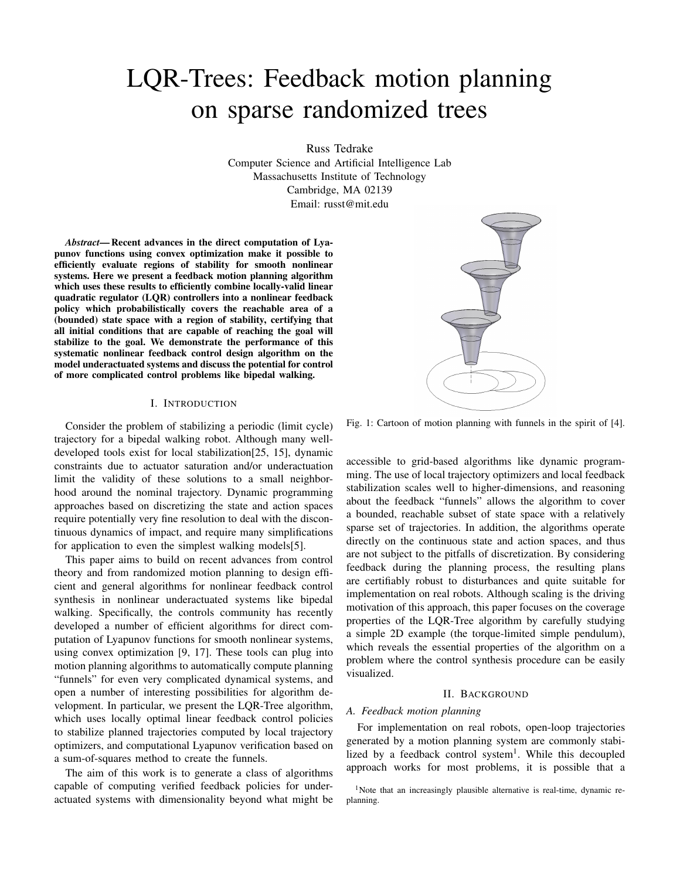# LQR-Trees: Feedback motion planning on sparse randomized trees

Russ Tedrake

Computer Science and Artificial Intelligence Lab Massachusetts Institute of Technology Cambridge, MA 02139 Email: russt@mit.edu

*Abstract*— Recent advances in the direct computation of Lyapunov functions using convex optimization make it possible to efficiently evaluate regions of stability for smooth nonlinear systems. Here we present a feedback motion planning algorithm which uses these results to efficiently combine locally-valid linear quadratic regulator (LQR) controllers into a nonlinear feedback policy which probabilistically covers the reachable area of a (bounded) state space with a region of stability, certifying that all initial conditions that are capable of reaching the goal will stabilize to the goal. We demonstrate the performance of this systematic nonlinear feedback control design algorithm on the model underactuated systems and discuss the potential for control of more complicated control problems like bipedal walking.

#### I. INTRODUCTION

Consider the problem of stabilizing a periodic (limit cycle) trajectory for a bipedal walking robot. Although many welldeveloped tools exist for local stabilization[25, 15], dynamic constraints due to actuator saturation and/or underactuation limit the validity of these solutions to a small neighborhood around the nominal trajectory. Dynamic programming approaches based on discretizing the state and action spaces require potentially very fine resolution to deal with the discontinuous dynamics of impact, and require many simplifications for application to even the simplest walking models[5].

This paper aims to build on recent advances from control theory and from randomized motion planning to design efficient and general algorithms for nonlinear feedback control synthesis in nonlinear underactuated systems like bipedal walking. Specifically, the controls community has recently developed a number of efficient algorithms for direct computation of Lyapunov functions for smooth nonlinear systems, using convex optimization [9, 17]. These tools can plug into motion planning algorithms to automatically compute planning "funnels" for even very complicated dynamical systems, and open a number of interesting possibilities for algorithm development. In particular, we present the LQR-Tree algorithm, which uses locally optimal linear feedback control policies to stabilize planned trajectories computed by local trajectory optimizers, and computational Lyapunov verification based on a sum-of-squares method to create the funnels.

The aim of this work is to generate a class of algorithms capable of computing verified feedback policies for underactuated systems with dimensionality beyond what might be

Fig. 1: Cartoon of motion planning with funnels in the spirit of [4].

accessible to grid-based algorithms like dynamic programming. The use of local trajectory optimizers and local feedback stabilization scales well to higher-dimensions, and reasoning about the feedback "funnels" allows the algorithm to cover a bounded, reachable subset of state space with a relatively sparse set of trajectories. In addition, the algorithms operate directly on the continuous state and action spaces, and thus are not subject to the pitfalls of discretization. By considering feedback during the planning process, the resulting plans are certifiably robust to disturbances and quite suitable for implementation on real robots. Although scaling is the driving motivation of this approach, this paper focuses on the coverage properties of the LQR-Tree algorithm by carefully studying a simple 2D example (the torque-limited simple pendulum), which reveals the essential properties of the algorithm on a problem where the control synthesis procedure can be easily visualized.

## II. BACKGROUND

## *A. Feedback motion planning*

For implementation on real robots, open-loop trajectories generated by a motion planning system are commonly stabilized by a feedback control system<sup>1</sup>. While this decoupled approach works for most problems, it is possible that a



<sup>&</sup>lt;sup>1</sup>Note that an increasingly plausible alternative is real-time, dynamic replanning.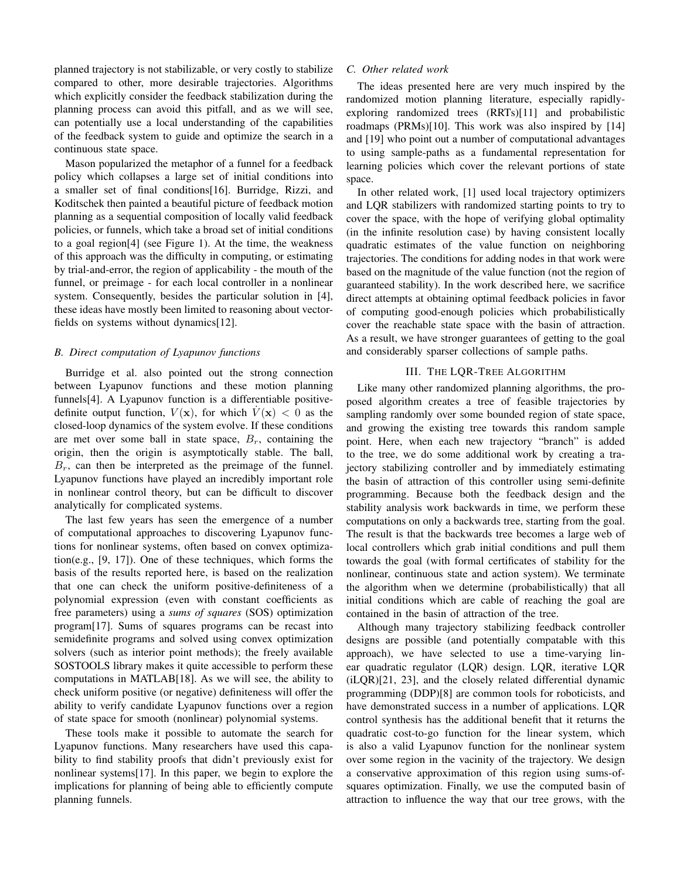planned trajectory is not stabilizable, or very costly to stabilize compared to other, more desirable trajectories. Algorithms which explicitly consider the feedback stabilization during the planning process can avoid this pitfall, and as we will see, can potentially use a local understanding of the capabilities of the feedback system to guide and optimize the search in a continuous state space.

Mason popularized the metaphor of a funnel for a feedback policy which collapses a large set of initial conditions into a smaller set of final conditions[16]. Burridge, Rizzi, and Koditschek then painted a beautiful picture of feedback motion planning as a sequential composition of locally valid feedback policies, or funnels, which take a broad set of initial conditions to a goal region[4] (see Figure 1). At the time, the weakness of this approach was the difficulty in computing, or estimating by trial-and-error, the region of applicability - the mouth of the funnel, or preimage - for each local controller in a nonlinear system. Consequently, besides the particular solution in [4], these ideas have mostly been limited to reasoning about vectorfields on systems without dynamics[12].

## *B. Direct computation of Lyapunov functions*

Burridge et al. also pointed out the strong connection between Lyapunov functions and these motion planning funnels[4]. A Lyapunov function is a differentiable positivedefinite output function,  $V(\mathbf{x})$ , for which  $V(\mathbf{x}) < 0$  as the closed-loop dynamics of the system evolve. If these conditions are met over some ball in state space,  $B_r$ , containing the origin, then the origin is asymptotically stable. The ball,  $B_r$ , can then be interpreted as the preimage of the funnel. Lyapunov functions have played an incredibly important role in nonlinear control theory, but can be difficult to discover analytically for complicated systems.

The last few years has seen the emergence of a number of computational approaches to discovering Lyapunov functions for nonlinear systems, often based on convex optimization(e.g., [9, 17]). One of these techniques, which forms the basis of the results reported here, is based on the realization that one can check the uniform positive-definiteness of a polynomial expression (even with constant coefficients as free parameters) using a *sums of squares* (SOS) optimization program[17]. Sums of squares programs can be recast into semidefinite programs and solved using convex optimization solvers (such as interior point methods); the freely available SOSTOOLS library makes it quite accessible to perform these computations in MATLAB[18]. As we will see, the ability to check uniform positive (or negative) definiteness will offer the ability to verify candidate Lyapunov functions over a region of state space for smooth (nonlinear) polynomial systems.

These tools make it possible to automate the search for Lyapunov functions. Many researchers have used this capability to find stability proofs that didn't previously exist for nonlinear systems[17]. In this paper, we begin to explore the implications for planning of being able to efficiently compute planning funnels.

## *C. Other related work*

The ideas presented here are very much inspired by the randomized motion planning literature, especially rapidlyexploring randomized trees (RRTs)[11] and probabilistic roadmaps (PRMs)[10]. This work was also inspired by [14] and [19] who point out a number of computational advantages to using sample-paths as a fundamental representation for learning policies which cover the relevant portions of state space.

In other related work, [1] used local trajectory optimizers and LQR stabilizers with randomized starting points to try to cover the space, with the hope of verifying global optimality (in the infinite resolution case) by having consistent locally quadratic estimates of the value function on neighboring trajectories. The conditions for adding nodes in that work were based on the magnitude of the value function (not the region of guaranteed stability). In the work described here, we sacrifice direct attempts at obtaining optimal feedback policies in favor of computing good-enough policies which probabilistically cover the reachable state space with the basin of attraction. As a result, we have stronger guarantees of getting to the goal and considerably sparser collections of sample paths.

# III. THE LQR-TREE ALGORITHM

Like many other randomized planning algorithms, the proposed algorithm creates a tree of feasible trajectories by sampling randomly over some bounded region of state space, and growing the existing tree towards this random sample point. Here, when each new trajectory "branch" is added to the tree, we do some additional work by creating a trajectory stabilizing controller and by immediately estimating the basin of attraction of this controller using semi-definite programming. Because both the feedback design and the stability analysis work backwards in time, we perform these computations on only a backwards tree, starting from the goal. The result is that the backwards tree becomes a large web of local controllers which grab initial conditions and pull them towards the goal (with formal certificates of stability for the nonlinear, continuous state and action system). We terminate the algorithm when we determine (probabilistically) that all initial conditions which are cable of reaching the goal are contained in the basin of attraction of the tree.

Although many trajectory stabilizing feedback controller designs are possible (and potentially compatable with this approach), we have selected to use a time-varying linear quadratic regulator (LQR) design. LQR, iterative LQR (iLQR)[21, 23], and the closely related differential dynamic programming (DDP)[8] are common tools for roboticists, and have demonstrated success in a number of applications. LQR control synthesis has the additional benefit that it returns the quadratic cost-to-go function for the linear system, which is also a valid Lyapunov function for the nonlinear system over some region in the vacinity of the trajectory. We design a conservative approximation of this region using sums-ofsquares optimization. Finally, we use the computed basin of attraction to influence the way that our tree grows, with the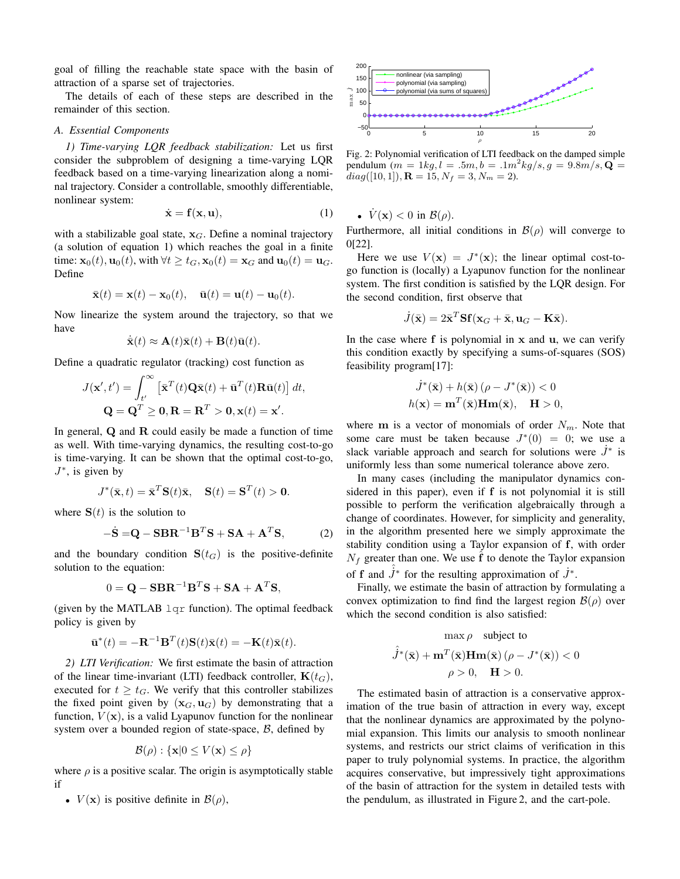goal of filling the reachable state space with the basin of attraction of a sparse set of trajectories.

The details of each of these steps are described in the remainder of this section.

## *A. Essential Components*

*1) Time-varying LQR feedback stabilization:* Let us first consider the subproblem of designing a time-varying LQR feedback based on a time-varying linearization along a nominal trajectory. Consider a controllable, smoothly differentiable, nonlinear system:

$$
\dot{\mathbf{x}} = \mathbf{f}(\mathbf{x}, \mathbf{u}),\tag{1}
$$

with a stabilizable goal state,  $x_G$ . Define a nominal trajectory (a solution of equation 1) which reaches the goal in a finite time:  $\mathbf{x}_0(t)$ ,  $\mathbf{u}_0(t)$ , with  $\forall t \ge t_G$ ,  $\mathbf{x}_0(t) = \mathbf{x}_G$  and  $\mathbf{u}_0(t) = \mathbf{u}_G$ . Define

$$
\bar{\mathbf{x}}(t) = \mathbf{x}(t) - \mathbf{x}_0(t), \quad \bar{\mathbf{u}}(t) = \mathbf{u}(t) - \mathbf{u}_0(t).
$$

Now linearize the system around the trajectory, so that we have

$$
\dot{\bar{\mathbf{x}}}(t) \approx \mathbf{A}(t)\bar{\mathbf{x}}(t) + \mathbf{B}(t)\bar{\mathbf{u}}(t).
$$

Define a quadratic regulator (tracking) cost function as

$$
J(\mathbf{x}',t') = \int_{t'}^{\infty} \left[ \bar{\mathbf{x}}^T(t)\mathbf{Q}\bar{\mathbf{x}}(t) + \bar{\mathbf{u}}^T(t)\mathbf{R}\bar{\mathbf{u}}(t) \right] dt,
$$
  

$$
\mathbf{Q} = \mathbf{Q}^T \ge \mathbf{0}, \mathbf{R} = \mathbf{R}^T > \mathbf{0}, \mathbf{x}(t) = \mathbf{x}'.
$$

In general, Q and R could easily be made a function of time as well. With time-varying dynamics, the resulting cost-to-go is time-varying. It can be shown that the optimal cost-to-go,  $J^*$ , is given by

$$
J^*(\bar{\mathbf{x}},t) = \bar{\mathbf{x}}^T \mathbf{S}(t)\bar{\mathbf{x}}, \quad \mathbf{S}(t) = \mathbf{S}^T(t) > \mathbf{0}.
$$

where  $S(t)$  is the solution to

$$
-\dot{\mathbf{S}} = \mathbf{Q} - \mathbf{S} \mathbf{B} \mathbf{R}^{-1} \mathbf{B}^T \mathbf{S} + \mathbf{S} \mathbf{A} + \mathbf{A}^T \mathbf{S},
$$
 (2)

and the boundary condition  $S(t_G)$  is the positive-definite solution to the equation:

$$
0 = \mathbf{Q} - \mathbf{SBR}^{-1} \mathbf{B}^T \mathbf{S} + \mathbf{SA} + \mathbf{A}^T \mathbf{S},
$$

(given by the MATLAB  $\text{lgr}$  function). The optimal feedback policy is given by

$$
\bar{\mathbf{u}}^*(t) = -\mathbf{R}^{-1} \mathbf{B}^T(t) \mathbf{S}(t) \bar{\mathbf{x}}(t) = -\mathbf{K}(t) \bar{\mathbf{x}}(t).
$$

*2) LTI Verification:* We first estimate the basin of attraction of the linear time-invariant (LTI) feedback controller,  $K(t_G)$ , executed for  $t \geq t_G$ . We verify that this controller stabilizes the fixed point given by  $(x_G, u_G)$  by demonstrating that a function,  $V(\mathbf{x})$ , is a valid Lyapunov function for the nonlinear system over a bounded region of state-space,  $\beta$ , defined by

$$
\mathcal{B}(\rho) : \{\mathbf{x}|0 \le V(\mathbf{x}) \le \rho\}
$$

where  $\rho$  is a positive scalar. The origin is asymptotically stable if

•  $V(\mathbf{x})$  is positive definite in  $\mathcal{B}(\rho)$ ,



Fig. 2: Polynomial verification of LTI feedback on the damped simple pendulum  $(m = 1kg, l = .5m, b = .1m^2kg/s, g = 9.8m/s, Q =$  $diag([10, 1]),$   $\mathbf{R} = 15, N_f = 3, N_m = 2).$ 

• 
$$
\dot{V}(\mathbf{x}) < 0
$$
 in  $\mathcal{B}(\rho)$ .

Furthermore, all initial conditions in  $\mathcal{B}(\rho)$  will converge to 0[22].

Here we use  $V(\mathbf{x}) = J^*(\mathbf{x})$ ; the linear optimal cost-togo function is (locally) a Lyapunov function for the nonlinear system. The first condition is satisfied by the LQR design. For the second condition, first observe that

$$
\dot{J}(\bar{\mathbf{x}}) = 2\bar{\mathbf{x}}^T \mathbf{S} \mathbf{f}(\mathbf{x}_G + \bar{\mathbf{x}}, \mathbf{u}_G - \mathbf{K}\bar{\mathbf{x}}).
$$

In the case where  $f$  is polynomial in  $x$  and  $u$ , we can verify this condition exactly by specifying a sums-of-squares (SOS) feasibility program[17]:

$$
\dot{J}^*(\bar{\mathbf{x}}) + h(\bar{\mathbf{x}}) (\rho - J^*(\bar{\mathbf{x}})) < 0
$$
\n
$$
h(\mathbf{x}) = \mathbf{m}^T(\bar{\mathbf{x}}) \mathbf{Hm}(\bar{\mathbf{x}}), \quad \mathbf{H} > 0,
$$

where  $m$  is a vector of monomials of order  $N_m$ . Note that some care must be taken because  $J^*(0) = 0$ ; we use a slack variable approach and search for solutions were  $\dot{J}^*$  is uniformly less than some numerical tolerance above zero.

In many cases (including the manipulator dynamics considered in this paper), even if f is not polynomial it is still possible to perform the verification algebraically through a change of coordinates. However, for simplicity and generality, in the algorithm presented here we simply approximate the stability condition using a Taylor expansion of f, with order  $N_f$  greater than one. We use  $\hat{f}$  to denote the Taylor expansion of **f** and  $\hat{J}^*$  for the resulting approximation of  $J^*$ .

Finally, we estimate the basin of attraction by formulating a convex optimization to find find the largest region  $\mathcal{B}(\rho)$  over which the second condition is also satisfied:

$$
\max \rho \quad \text{subject to}
$$

$$
\hat{J}^*(\bar{\mathbf{x}}) + \mathbf{m}^T(\bar{\mathbf{x}}) \mathbf{Hm}(\bar{\mathbf{x}}) (\rho - J^*(\bar{\mathbf{x}})) < \rho > 0, \quad \mathbf{H} > 0.
$$

 $\overline{0}$ 

The estimated basin of attraction is a conservative approximation of the true basin of attraction in every way, except that the nonlinear dynamics are approximated by the polynomial expansion. This limits our analysis to smooth nonlinear systems, and restricts our strict claims of verification in this paper to truly polynomial systems. In practice, the algorithm acquires conservative, but impressively tight approximations of the basin of attraction for the system in detailed tests with the pendulum, as illustrated in Figure 2, and the cart-pole.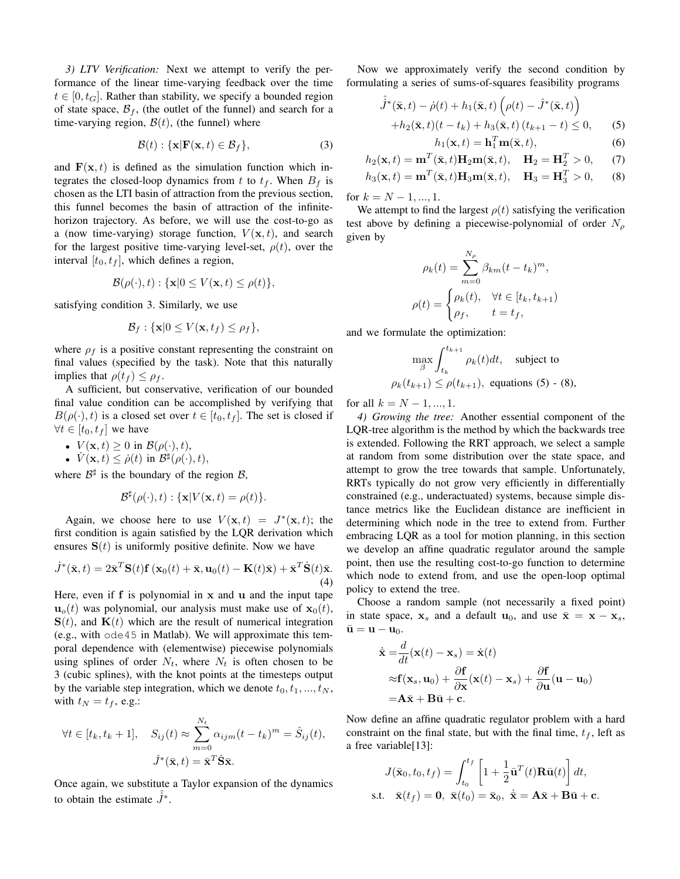*3) LTV Verification:* Next we attempt to verify the performance of the linear time-varying feedback over the time  $t \in [0, t_G]$ . Rather than stability, we specify a bounded region of state space,  $\mathcal{B}_f$ , (the outlet of the funnel) and search for a time-varying region,  $\mathcal{B}(t)$ , (the funnel) where

$$
\mathcal{B}(t): \{\mathbf{x}|\mathbf{F}(\mathbf{x},t) \in \mathcal{B}_f\},\tag{3}
$$

and  $F(x, t)$  is defined as the simulation function which integrates the closed-loop dynamics from t to  $t_f$ . When  $B_f$  is chosen as the LTI basin of attraction from the previous section, this funnel becomes the basin of attraction of the infinitehorizon trajectory. As before, we will use the cost-to-go as a (now time-varying) storage function,  $V(\mathbf{x}, t)$ , and search for the largest positive time-varying level-set,  $\rho(t)$ , over the interval  $[t_0, t_f]$ , which defines a region,

$$
\mathcal{B}(\rho(\cdot),t): \{\mathbf{x}|0 \le V(\mathbf{x},t) \le \rho(t)\},\
$$

satisfying condition 3. Similarly, we use

$$
\mathcal{B}_f: \{\mathbf{x}|0 \leq V(\mathbf{x}, t_f) \leq \rho_f\},\
$$

where  $\rho_f$  is a positive constant representing the constraint on final values (specified by the task). Note that this naturally implies that  $\rho(t_f) \leq \rho_f$ .

A sufficient, but conservative, verification of our bounded final value condition can be accomplished by verifying that  $B(\rho(\cdot), t)$  is a closed set over  $t \in [t_0, t_f]$ . The set is closed if  $\forall t \in [t_0, t_f]$  we have

• 
$$
V(\mathbf{x},t) \geq 0
$$
 in  $\mathcal{B}(\rho(\cdot),t)$ ,

• 
$$
V(\mathbf{x}, t) \leq \rho(t)
$$
 in  $\mathcal{B}^{\sharp}(\rho(\cdot), t)$ ,

where  $\mathcal{B}^{\sharp}$  is the boundary of the region  $\mathcal{B}$ ,

$$
\mathcal{B}^{\sharp}(\rho(\cdot),t): \{\mathbf{x}|V(\mathbf{x},t) = \rho(t)\}.
$$

Again, we choose here to use  $V(\mathbf{x},t) = J^*(\mathbf{x},t)$ ; the first condition is again satisfied by the LQR derivation which ensures  $S(t)$  is uniformly positive definite. Now we have

$$
\dot{J}^*(\bar{\mathbf{x}},t) = 2\bar{\mathbf{x}}^T \mathbf{S}(t) \mathbf{f}(\mathbf{x}_0(t) + \bar{\mathbf{x}}, \mathbf{u}_0(t) - \mathbf{K}(t)\bar{\mathbf{x}}) + \bar{\mathbf{x}}^T \dot{\mathbf{S}}(t)\bar{\mathbf{x}}.
$$
\n(4)

Here, even if  $f$  is polynomial in  $x$  and  $u$  and the input tape  $\mathbf{u}_o(t)$  was polynomial, our analysis must make use of  $\mathbf{x}_0(t)$ ,  $S(t)$ , and  $K(t)$  which are the result of numerical integration (e.g., with ode45 in Matlab). We will approximate this temporal dependence with (elementwise) piecewise polynomials using splines of order  $N_t$ , where  $N_t$  is often chosen to be 3 (cubic splines), with the knot points at the timesteps output by the variable step integration, which we denote  $t_0, t_1, ..., t_N$ , with  $t_N = t_f$ , e.g.:

$$
\forall t \in [t_k, t_k + 1], \quad S_{ij}(t) \approx \sum_{m=0}^{N_t} \alpha_{ijm} (t - t_k)^m = \hat{S}_{ij}(t),
$$

$$
\hat{J}^*(\bar{\mathbf{x}}, t) = \bar{\mathbf{x}}^T \hat{\mathbf{S}} \bar{\mathbf{x}}.
$$

Once again, we substitute a Taylor expansion of the dynamics to obtain the estimate  $\hat{J}^*$ .

Now we approximately verify the second condition by formulating a series of sums-of-squares feasibility programs

$$
\hat{J}^*(\bar{\mathbf{x}},t) - \dot{\rho}(t) + h_1(\bar{\mathbf{x}},t) \left( \rho(t) - \hat{J}^*(\bar{\mathbf{x}},t) \right)
$$

$$
+ h_2(\bar{\mathbf{x}},t)(t - t_k) + h_3(\bar{\mathbf{x}},t) (t_{k+1} - t) \le 0,
$$
(5)
$$
h_1(\mathbf{x},t) = \mathbf{h}_1^T \mathbf{m}(\bar{\mathbf{x}},t),
$$
(6)

$$
h_2(\mathbf{x},t) = \mathbf{m}^T(\bar{\mathbf{x}},t)\mathbf{H}_2\mathbf{m}(\bar{\mathbf{x}},t), \quad \mathbf{H}_2 = \mathbf{H}_2^T > 0, \quad (7)
$$

$$
h_3(\mathbf{x},t) = \mathbf{m}^T(\bar{\mathbf{x}},t)\mathbf{H}_3\mathbf{m}(\bar{\mathbf{x}},t), \quad \mathbf{H}_3 = \mathbf{H}_3^T > 0,
$$
 (8)

for  $k = N - 1, ..., 1$ .

We attempt to find the largest  $\rho(t)$  satisfying the verification test above by defining a piecewise-polynomial of order  $N_\rho$ given by

$$
\rho_k(t) = \sum_{m=0}^{N_\rho} \beta_{km} (t - t_k)^m,
$$

$$
\rho(t) = \begin{cases} \rho_k(t), & \forall t \in [t_k, t_{k+1}) \\ \rho_f, & t = t_f, \end{cases}
$$

and we formulate the optimization:

$$
\max_{\beta} \int_{t_k}^{t_{k+1}} \rho_k(t)dt, \quad \text{subject to}
$$

$$
\rho_k(t_{k+1}) \le \rho(t_{k+1}), \text{ equations (5) - (8)},
$$

for all  $k = N - 1, ..., 1$ .

*4) Growing the tree:* Another essential component of the LQR-tree algorithm is the method by which the backwards tree is extended. Following the RRT approach, we select a sample at random from some distribution over the state space, and attempt to grow the tree towards that sample. Unfortunately, RRTs typically do not grow very efficiently in differentially constrained (e.g., underactuated) systems, because simple distance metrics like the Euclidean distance are inefficient in determining which node in the tree to extend from. Further embracing LQR as a tool for motion planning, in this section we develop an affine quadratic regulator around the sample point, then use the resulting cost-to-go function to determine which node to extend from, and use the open-loop optimal policy to extend the tree.

Choose a random sample (not necessarily a fixed point) in state space,  $x_s$  and a default u<sub>0</sub>, and use  $\bar{x} = x - x_s$ ,  $\bar{\mathbf{u}} = \mathbf{u} - \mathbf{u}_0.$ 

$$
\dot{\bar{\mathbf{x}}} = \frac{d}{dt}(\mathbf{x}(t) - \mathbf{x}_s) = \dot{\mathbf{x}}(t)
$$
\n
$$
\approx \mathbf{f}(\mathbf{x}_s, \mathbf{u}_0) + \frac{\partial \mathbf{f}}{\partial \mathbf{x}}(\mathbf{x}(t) - \mathbf{x}_s) + \frac{\partial \mathbf{f}}{\partial \mathbf{u}}(\mathbf{u} - \mathbf{u}_0)
$$
\n
$$
= \mathbf{A}\bar{\mathbf{x}} + \mathbf{B}\bar{\mathbf{u}} + \mathbf{c}.
$$

Now define an affine quadratic regulator problem with a hard constraint on the final state, but with the final time,  $t_f$ , left as a free variable[13]:

$$
J(\bar{\mathbf{x}}_0, t_0, t_f) = \int_{t_0}^{t_f} \left[ 1 + \frac{1}{2} \bar{\mathbf{u}}^T(t) \mathbf{R} \bar{\mathbf{u}}(t) \right] dt,
$$
  
s.t.  $\bar{\mathbf{x}}(t_f) = \mathbf{0}, \ \bar{\mathbf{x}}(t_0) = \bar{\mathbf{x}}_0, \ \dot{\bar{\mathbf{x}}} = \mathbf{A}\bar{\mathbf{x}} + \mathbf{B}\bar{\mathbf{u}} + \mathbf{c}.$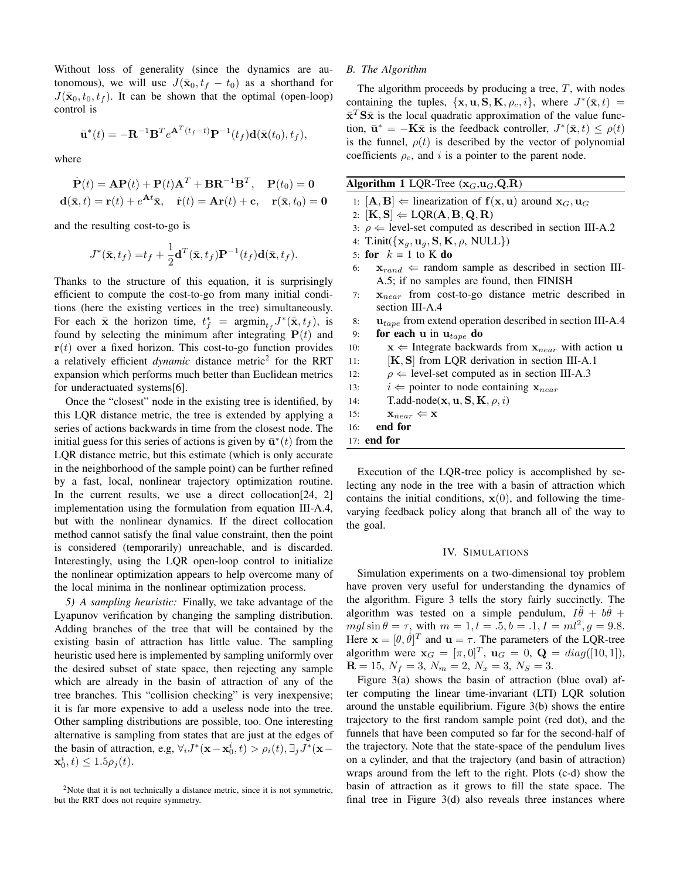Without loss of generality (since the dynamics are autonomous), we will use  $J(\bar{\mathbf{x}}_0, t_f - t_0)$  as a shorthand for  $J(\bar{\mathbf{x}}_0, t_0, t_f)$ . It can be shown that the optimal (open-loop) control is

$$
\bar{\mathbf{u}}^*(t) = -\mathbf{R}^{-1} \mathbf{B}^T e^{\mathbf{A}^T(t_f - t)} \mathbf{P}^{-1}(t_f) \mathbf{d}(\bar{\mathbf{x}}(t_0), t_f),
$$

where

$$
\dot{\mathbf{P}}(t) = \mathbf{A}\mathbf{P}(t) + \mathbf{P}(t)\mathbf{A}^T + \mathbf{B}\mathbf{R}^{-1}\mathbf{B}^T, \quad \mathbf{P}(t_0) = \mathbf{0}
$$
  

$$
\mathbf{d}(\bar{\mathbf{x}}, t) = \mathbf{r}(t) + e^{\mathbf{A}t}\bar{\mathbf{x}}, \quad \dot{\mathbf{r}}(t) = \mathbf{A}\mathbf{r}(t) + \mathbf{c}, \quad \mathbf{r}(\bar{\mathbf{x}}, t_0) = \mathbf{0}
$$

and the resulting cost-to-go is

$$
J^*(\bar{\mathbf{x}}, t_f) = t_f + \frac{1}{2} \mathbf{d}^T(\bar{\mathbf{x}}, t_f) \mathbf{P}^{-1}(t_f) \mathbf{d}(\bar{\mathbf{x}}, t_f).
$$

Thanks to the structure of this equation, it is surprisingly efficient to compute the cost-to-go from many initial conditions (here the existing vertices in the tree) simultaneously. For each  $\bar{\mathbf{x}}$  the horizon time,  $t_f^* = \operatorname{argmin}_{t_f} J^*(\bar{\mathbf{x}}, t_f)$ , is found by selecting the minimum after integrating  $P(t)$  and  $r(t)$  over a fixed horizon. This cost-to-go function provides a relatively efficient *dynamic* distance metric<sup>2</sup> for the RRT expansion which performs much better than Euclidean metrics for underactuated systems[6].

Once the "closest" node in the existing tree is identified, by this LQR distance metric, the tree is extended by applying a series of actions backwards in time from the closest node. The initial guess for this series of actions is given by  $\bar{\mathbf{u}}^*(t)$  from the LQR distance metric, but this estimate (which is only accurate in the neighborhood of the sample point) can be further refined by a fast, local, nonlinear trajectory optimization routine. In the current results, we use a direct collocation [24, 2] implementation using the formulation from equation III-A.4, but with the nonlinear dynamics. If the direct collocation method cannot satisfy the final value constraint, then the point is considered (temporarily) unreachable, and is discarded. Interestingly, using the LQR open-loop control to initialize the nonlinear optimization appears to help overcome many of the local minima in the nonlinear optimization process.

*5) A sampling heuristic:* Finally, we take advantage of the Lyapunov verification by changing the sampling distribution. Adding branches of the tree that will be contained by the existing basin of attraction has little value. The sampling heuristic used here is implemented by sampling uniformly over the desired subset of state space, then rejecting any sample which are already in the basin of attraction of any of the tree branches. This "collision checking" is very inexpensive; it is far more expensive to add a useless node into the tree. Other sampling distributions are possible, too. One interesting alternative is sampling from states that are just at the edges of the basin of attraction, e.g,  $\forall_i J^*(\mathbf{x} - \mathbf{x}_0^i, t) > \rho_i(t), \exists_j J^*(\mathbf{x} \mathbf{x}_0^i, t) \leq 1.5 \rho_j(t).$ 

## *B. The Algorithm*

The algorithm proceeds by producing a tree,  $T$ , with nodes containing the tuples,  $\{x, u, S, K, \rho_c, i\}$ , where  $J^*(\bar{x}, t)$  $\bar{\mathbf{x}}^T \mathbf{S} \bar{\mathbf{x}}$  is the local quadratic approximation of the value function,  $\bar{\mathbf{u}}^* = -\mathbf{K}\bar{\mathbf{x}}$  is the feedback controller,  $J^*(\bar{\mathbf{x}}, t) \le \rho(t)$ is the funnel,  $\rho(t)$  is described by the vector of polynomial coefficients  $\rho_c$ , and i is a pointer to the parent node.

| <b>Algorithm 1</b> LQR-Tree $(x_G, u_G, Q, R)$ |                                                                                                                           |
|------------------------------------------------|---------------------------------------------------------------------------------------------------------------------------|
|                                                | 1: $[\mathbf{A}, \mathbf{B}] \leftarrow$ linearization of $f(\mathbf{x}, \mathbf{u})$ around $\mathbf{x}_G, \mathbf{u}_G$ |
|                                                | 2: $[K, S] \leftarrow \text{LQR}(A, B, Q, R)$                                                                             |
|                                                | 3: $\rho \leftarrow$ level-set computed as described in section III-A.2                                                   |
|                                                | 4: T.init( $\{x_q, u_q, S, K, \rho, \text{NULL}\}\$ )                                                                     |
|                                                | 5: for $k = 1$ to K do                                                                                                    |
| 6:                                             | $\mathbf{x}_{rand} \leftarrow$ random sample as described in section III-                                                 |
|                                                | A.5; if no samples are found, then FINISH                                                                                 |
| 7:                                             | $x_{near}$ from cost-to-go distance metric described in                                                                   |
|                                                | section III-A.4                                                                                                           |
| 8:                                             | $\mathbf{u}_{tape}$ from extend operation described in section III-A.4                                                    |
| 9:                                             | for each u in $u_{tape}$ do                                                                                               |
| 10:                                            | $x \leftarrow$ Integrate backwards from $x_{near}$ with action u                                                          |
| 11:                                            | $ K, S $ from LQR derivation in section III-A.1                                                                           |
| 12:                                            | $\rho \leftarrow$ level-set computed as in section III-A.3                                                                |
| 13:                                            | $i \leftarrow$ pointer to node containing $x_{near}$                                                                      |
| 14:                                            | T.add-node( $\mathbf{x}, \mathbf{u}, \mathbf{S}, \mathbf{K}, \rho, i$ )                                                   |
| 15:                                            | $\mathbf{x}_{near} \leftarrow \mathbf{x}$                                                                                 |
| 16:                                            | end for                                                                                                                   |
|                                                | 17: end for                                                                                                               |

Execution of the LQR-tree policy is accomplished by selecting any node in the tree with a basin of attraction which contains the initial conditions,  $x(0)$ , and following the timevarying feedback policy along that branch all of the way to the goal.

#### IV. SIMULATIONS

Simulation experiments on a two-dimensional toy problem have proven very useful for understanding the dynamics of the algorithm. Figure 3 tells the story fairly succinctly. The algorithm was tested on a simple pendulum,  $I\ddot{\theta} + b\dot{\theta} +$  $mgl\sin\theta = \tau$ , with  $m = 1, l = .5, b = .1, I = ml^2, g = 9.8$ . Here  $\mathbf{x} = [\theta, \dot{\theta}]^T$  and  $\mathbf{u} = \tau$ . The parameters of the LQR-tree algorithm were  $\mathbf{x}_G = [\pi, 0]^T$ ,  $\mathbf{u}_G = 0$ ,  $\mathbf{Q} = diag([10, 1]),$  $\mathbf{R} = 15, N_f = 3, N_m = 2, N_x = 3, N_S = 3.$ 

Figure 3(a) shows the basin of attraction (blue oval) after computing the linear time-invariant (LTI) LQR solution around the unstable equilibrium. Figure 3(b) shows the entire trajectory to the first random sample point (red dot), and the funnels that have been computed so far for the second-half of the trajectory. Note that the state-space of the pendulum lives on a cylinder, and that the trajectory (and basin of attraction) wraps around from the left to the right. Plots (c-d) show the basin of attraction as it grows to fill the state space. The final tree in Figure 3(d) also reveals three instances where

<sup>&</sup>lt;sup>2</sup>Note that it is not technically a distance metric, since it is not symmetric, but the RRT does not require symmetry.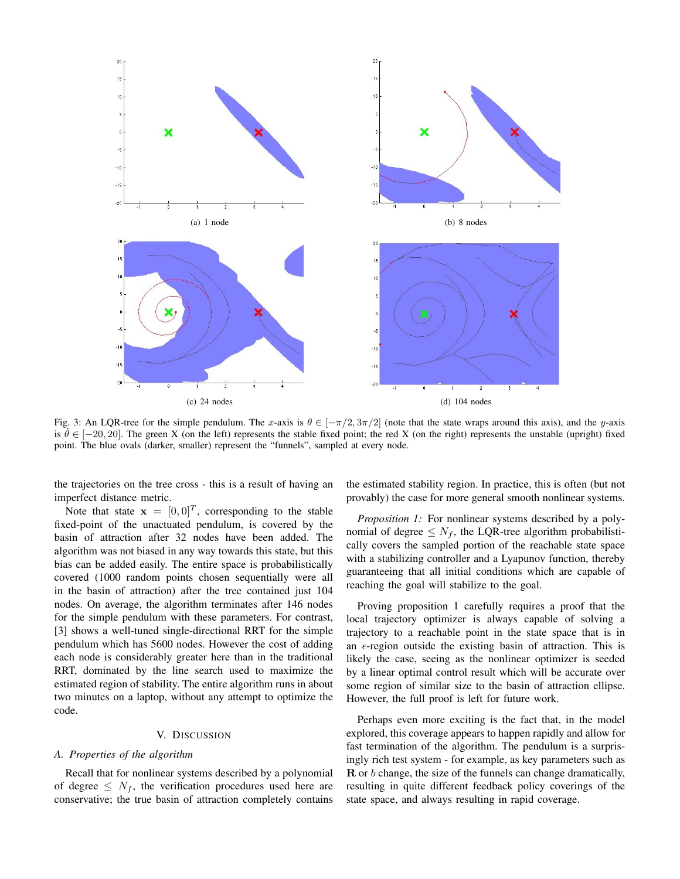

Fig. 3: An LQR-tree for the simple pendulum. The x-axis is  $\theta \in [-\pi/2, 3\pi/2]$  (note that the state wraps around this axis), and the y-axis is  $\theta \in [-20, 20]$ . The green X (on the left) represents the stable fixed point; the red X (on the right) represents the unstable (upright) fixed point. The blue ovals (darker, smaller) represent the "funnels", sampled at every node.

the trajectories on the tree cross - this is a result of having an imperfect distance metric.

Note that state  $\mathbf{x} = [0, 0]^T$ , corresponding to the stable fixed-point of the unactuated pendulum, is covered by the basin of attraction after 32 nodes have been added. The algorithm was not biased in any way towards this state, but this bias can be added easily. The entire space is probabilistically covered (1000 random points chosen sequentially were all in the basin of attraction) after the tree contained just 104 nodes. On average, the algorithm terminates after 146 nodes for the simple pendulum with these parameters. For contrast, [3] shows a well-tuned single-directional RRT for the simple pendulum which has 5600 nodes. However the cost of adding each node is considerably greater here than in the traditional RRT, dominated by the line search used to maximize the estimated region of stability. The entire algorithm runs in about two minutes on a laptop, without any attempt to optimize the code.

#### V. DISCUSSION

#### *A. Properties of the algorithm*

Recall that for nonlinear systems described by a polynomial of degree  $\leq N_f$ , the verification procedures used here are conservative; the true basin of attraction completely contains the estimated stability region. In practice, this is often (but not provably) the case for more general smooth nonlinear systems.

*Proposition 1:* For nonlinear systems described by a polynomial of degree  $\leq N_f$ , the LQR-tree algorithm probabilistically covers the sampled portion of the reachable state space with a stabilizing controller and a Lyapunov function, thereby guaranteeing that all initial conditions which are capable of reaching the goal will stabilize to the goal.

Proving proposition 1 carefully requires a proof that the local trajectory optimizer is always capable of solving a trajectory to a reachable point in the state space that is in an  $\epsilon$ -region outside the existing basin of attraction. This is likely the case, seeing as the nonlinear optimizer is seeded by a linear optimal control result which will be accurate over some region of similar size to the basin of attraction ellipse. However, the full proof is left for future work.

Perhaps even more exciting is the fact that, in the model explored, this coverage appears to happen rapidly and allow for fast termination of the algorithm. The pendulum is a surprisingly rich test system - for example, as key parameters such as R or b change, the size of the funnels can change dramatically, resulting in quite different feedback policy coverings of the state space, and always resulting in rapid coverage.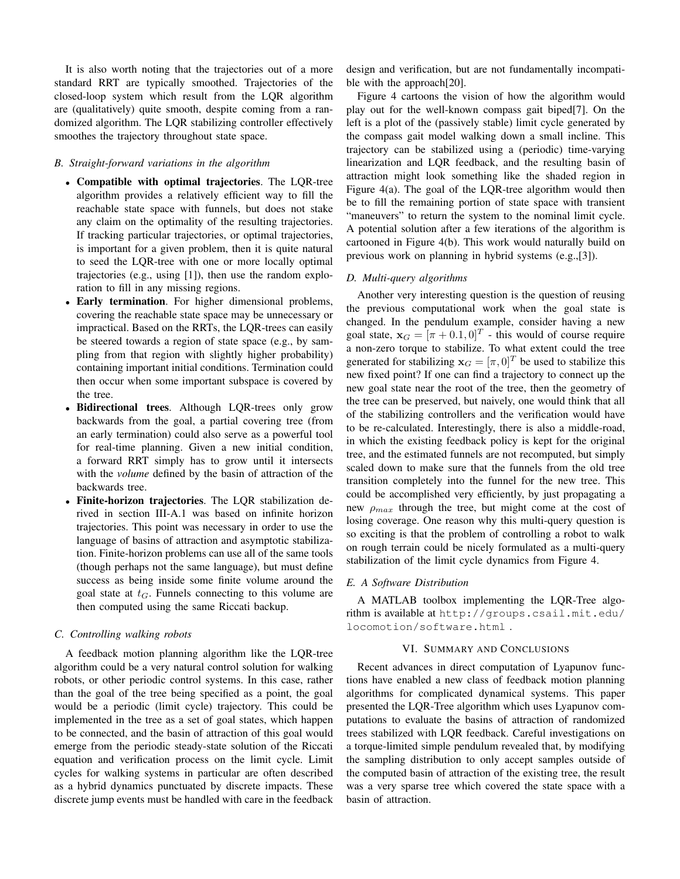It is also worth noting that the trajectories out of a more standard RRT are typically smoothed. Trajectories of the closed-loop system which result from the LQR algorithm are (qualitatively) quite smooth, despite coming from a randomized algorithm. The LQR stabilizing controller effectively smoothes the trajectory throughout state space.

## *B. Straight-forward variations in the algorithm*

- Compatible with optimal trajectories. The LQR-tree algorithm provides a relatively efficient way to fill the reachable state space with funnels, but does not stake any claim on the optimality of the resulting trajectories. If tracking particular trajectories, or optimal trajectories, is important for a given problem, then it is quite natural to seed the LQR-tree with one or more locally optimal trajectories (e.g., using [1]), then use the random exploration to fill in any missing regions.
- Early termination. For higher dimensional problems, covering the reachable state space may be unnecessary or impractical. Based on the RRTs, the LQR-trees can easily be steered towards a region of state space (e.g., by sampling from that region with slightly higher probability) containing important initial conditions. Termination could then occur when some important subspace is covered by the tree.
- Bidirectional trees. Although LQR-trees only grow backwards from the goal, a partial covering tree (from an early termination) could also serve as a powerful tool for real-time planning. Given a new initial condition, a forward RRT simply has to grow until it intersects with the *volume* defined by the basin of attraction of the backwards tree.
- Finite-horizon trajectories. The LQR stabilization derived in section III-A.1 was based on infinite horizon trajectories. This point was necessary in order to use the language of basins of attraction and asymptotic stabilization. Finite-horizon problems can use all of the same tools (though perhaps not the same language), but must define success as being inside some finite volume around the goal state at  $t_G$ . Funnels connecting to this volume are then computed using the same Riccati backup.

# *C. Controlling walking robots*

A feedback motion planning algorithm like the LQR-tree algorithm could be a very natural control solution for walking robots, or other periodic control systems. In this case, rather than the goal of the tree being specified as a point, the goal would be a periodic (limit cycle) trajectory. This could be implemented in the tree as a set of goal states, which happen to be connected, and the basin of attraction of this goal would emerge from the periodic steady-state solution of the Riccati equation and verification process on the limit cycle. Limit cycles for walking systems in particular are often described as a hybrid dynamics punctuated by discrete impacts. These discrete jump events must be handled with care in the feedback

design and verification, but are not fundamentally incompatible with the approach[20].

Figure 4 cartoons the vision of how the algorithm would play out for the well-known compass gait biped[7]. On the left is a plot of the (passively stable) limit cycle generated by the compass gait model walking down a small incline. This trajectory can be stabilized using a (periodic) time-varying linearization and LQR feedback, and the resulting basin of attraction might look something like the shaded region in Figure 4(a). The goal of the LQR-tree algorithm would then be to fill the remaining portion of state space with transient "maneuvers" to return the system to the nominal limit cycle. A potential solution after a few iterations of the algorithm is cartooned in Figure 4(b). This work would naturally build on previous work on planning in hybrid systems (e.g.,[3]).

### *D. Multi-query algorithms*

Another very interesting question is the question of reusing the previous computational work when the goal state is changed. In the pendulum example, consider having a new goal state,  $\mathbf{x}_G = [\pi + 0.1, 0]^T$  - this would of course require a non-zero torque to stabilize. To what extent could the tree generated for stabilizing  $\mathbf{x}_G = [\pi, 0]^T$  be used to stabilize this new fixed point? If one can find a trajectory to connect up the new goal state near the root of the tree, then the geometry of the tree can be preserved, but naively, one would think that all of the stabilizing controllers and the verification would have to be re-calculated. Interestingly, there is also a middle-road, in which the existing feedback policy is kept for the original tree, and the estimated funnels are not recomputed, but simply scaled down to make sure that the funnels from the old tree transition completely into the funnel for the new tree. This could be accomplished very efficiently, by just propagating a new  $\rho_{max}$  through the tree, but might come at the cost of losing coverage. One reason why this multi-query question is so exciting is that the problem of controlling a robot to walk on rough terrain could be nicely formulated as a multi-query stabilization of the limit cycle dynamics from Figure 4.

## *E. A Software Distribution*

A MATLAB toolbox implementing the LQR-Tree algorithm is available at http://groups.csail.mit.edu/ locomotion/software.html .

# VI. SUMMARY AND CONCLUSIONS

Recent advances in direct computation of Lyapunov functions have enabled a new class of feedback motion planning algorithms for complicated dynamical systems. This paper presented the LQR-Tree algorithm which uses Lyapunov computations to evaluate the basins of attraction of randomized trees stabilized with LQR feedback. Careful investigations on a torque-limited simple pendulum revealed that, by modifying the sampling distribution to only accept samples outside of the computed basin of attraction of the existing tree, the result was a very sparse tree which covered the state space with a basin of attraction.